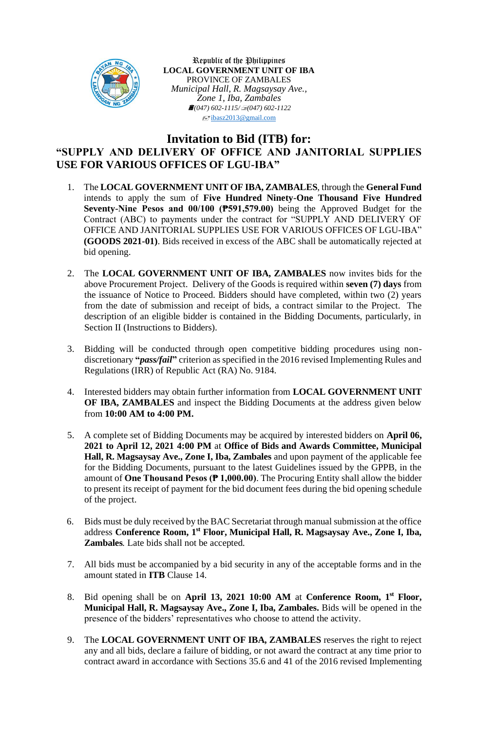

Republic of the Philippines **LOCAL GOVERNMENT UNIT OF IBA** PROVINCE OF ZAMBALES *Municipal Hall, R. Magsaysay Ave., Zone 1, Iba, Zambales (047) 602-1115/(047) 602-1122*  $\sqrt{\frac{1}{2}}$ [ibasz2013@gmail.com](mailto:ibasz2013@gmail.com)

## **Invitation to Bid (ITB) for: "SUPPLY AND DELIVERY OF OFFICE AND JANITORIAL SUPPLIES USE FOR VARIOUS OFFICES OF LGU-IBA"**

- 1. The **LOCAL GOVERNMENT UNIT OF IBA, ZAMBALES**, through the **General Fund** intends to apply the sum of **Five Hundred Ninety-One Thousand Five Hundred Seventy-Nine Pesos and 00/100 (₱591,579.00)** being the Approved Budget for the Contract (ABC) to payments under the contract for "SUPPLY AND DELIVERY OF OFFICE AND JANITORIAL SUPPLIES USE FOR VARIOUS OFFICES OF LGU-IBA" **(GOODS 2021-01)**. Bids received in excess of the ABC shall be automatically rejected at bid opening.
- 2. The **LOCAL GOVERNMENT UNIT OF IBA, ZAMBALES** now invites bids for the above Procurement Project. Delivery of the Goods is required within **seven (7) days** from the issuance of Notice to Proceed. Bidders should have completed, within two (2) years from the date of submission and receipt of bids, a contract similar to the Project. The description of an eligible bidder is contained in the Bidding Documents, particularly, in Section II (Instructions to Bidders).
- 3. Bidding will be conducted through open competitive bidding procedures using nondiscretionary **"***pass/fail***"** criterion as specified in the 2016 revised Implementing Rules and Regulations (IRR) of Republic Act (RA) No. 9184.
- 4. Interested bidders may obtain further information from **LOCAL GOVERNMENT UNIT OF IBA, ZAMBALES** and inspect the Bidding Documents at the address given below from **10:00 AM to 4:00 PM.**
- 5. A complete set of Bidding Documents may be acquired by interested bidders on **April 06, 2021 to April 12, 2021 4:00 PM** at **Office of Bids and Awards Committee, Municipal Hall, R. Magsaysay Ave., Zone I, Iba, Zambales** and upon payment of the applicable fee for the Bidding Documents, pursuant to the latest Guidelines issued by the GPPB, in the amount of **One Thousand Pesos (₱ 1,000.00)**. The Procuring Entity shall allow the bidder to present its receipt of payment for the bid document fees during the bid opening schedule of the project.
- 6. Bids must be duly received by the BAC Secretariat through manual submission at the office address **Conference Room, 1 st Floor, Municipal Hall, R. Magsaysay Ave., Zone I, Iba, Zambales***.* Late bids shall not be accepted.
- 7. All bids must be accompanied by a bid security in any of the acceptable forms and in the amount stated in **ITB** Clause 14.
- 8. Bid opening shall be on **April 13, 2021 10:00 AM** at **Conference Room, 1 st Floor, Municipal Hall, R. Magsaysay Ave., Zone I, Iba, Zambales.** Bids will be opened in the presence of the bidders' representatives who choose to attend the activity.
- 9. The **LOCAL GOVERNMENT UNIT OF IBA, ZAMBALES** reserves the right to reject any and all bids, declare a failure of bidding, or not award the contract at any time prior to contract award in accordance with Sections 35.6 and 41 of the 2016 revised Implementing